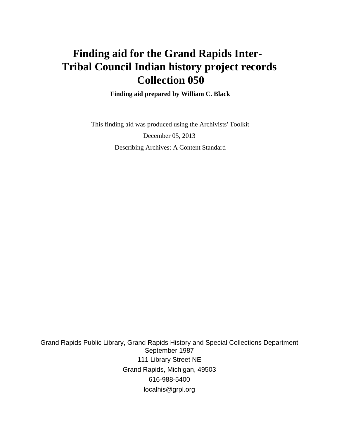# **Finding aid for the Grand Rapids Inter-Tribal Council Indian history project records Collection 050**

 **Finding aid prepared by William C. Black**

 This finding aid was produced using the Archivists' Toolkit December 05, 2013 Describing Archives: A Content Standard

Grand Rapids Public Library, Grand Rapids History and Special Collections Department September 1987 111 Library Street NE Grand Rapids, Michigan, 49503 616-988-5400 localhis@grpl.org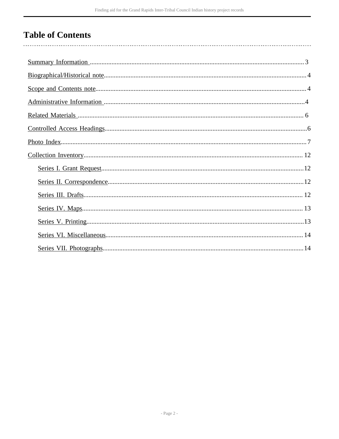# **Table of Contents**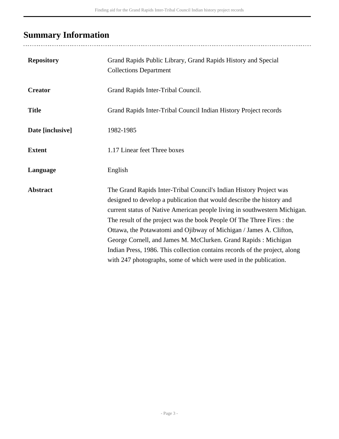# <span id="page-2-0"></span>**Summary Information**

..........................

| <b>Repository</b> | Grand Rapids Public Library, Grand Rapids History and Special<br><b>Collections Department</b>                                                                                                                                                                                                                                                                                                                                                                                                                                                                                                |
|-------------------|-----------------------------------------------------------------------------------------------------------------------------------------------------------------------------------------------------------------------------------------------------------------------------------------------------------------------------------------------------------------------------------------------------------------------------------------------------------------------------------------------------------------------------------------------------------------------------------------------|
| <b>Creator</b>    | Grand Rapids Inter-Tribal Council.                                                                                                                                                                                                                                                                                                                                                                                                                                                                                                                                                            |
| <b>Title</b>      | Grand Rapids Inter-Tribal Council Indian History Project records                                                                                                                                                                                                                                                                                                                                                                                                                                                                                                                              |
| Date [inclusive]  | 1982-1985                                                                                                                                                                                                                                                                                                                                                                                                                                                                                                                                                                                     |
| <b>Extent</b>     | 1.17 Linear feet Three boxes                                                                                                                                                                                                                                                                                                                                                                                                                                                                                                                                                                  |
| Language          | English                                                                                                                                                                                                                                                                                                                                                                                                                                                                                                                                                                                       |
| <b>Abstract</b>   | The Grand Rapids Inter-Tribal Council's Indian History Project was<br>designed to develop a publication that would describe the history and<br>current status of Native American people living in southwestern Michigan.<br>The result of the project was the book People Of The Three Fires : the<br>Ottawa, the Potawatomi and Ojibway of Michigan / James A. Clifton,<br>George Cornell, and James M. McClurken. Grand Rapids: Michigan<br>Indian Press, 1986. This collection contains records of the project, along<br>with 247 photographs, some of which were used in the publication. |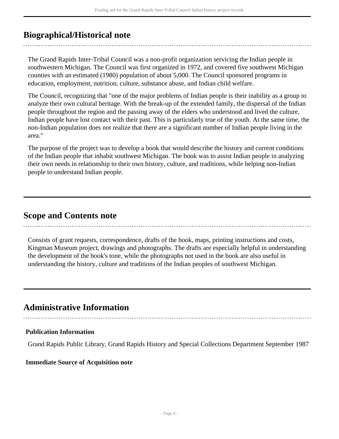## <span id="page-3-0"></span>**Biographical/Historical note**

The Grand Rapids Inter-Tribal Council was a non-profit organization servicing the Indian people in southwestern Michigan. The Council was first organized in 1972, and covered five southwest Michigan counties with an estimated (1980) population of about 5,000. The Council sponsored programs in education, employment, nutrition, culture, substance abuse, and Indian child welfare.

The Council, recognizing that "one of the major problems of Indian people is their inability as a group to analyze their own cultural heritage. With the break-up of the extended family, the dispersal of the Indian people throughout the region and the passing away of the elders who understood and lived the culture, Indian people have lost contact with their past. This is particularly true of the youth. At the same time, the non-Indian population does not realize that there are a significant number of Indian people living in the area."

The purpose of the project was to develop a book that would describe the history and current conditions of the Indian people that inhabit southwest Michigan. The book was to assist Indian people in analyzing their own needs in relationship to their own history, culture, and traditions, while helping non-Indian people to understand Indian people.

## <span id="page-3-1"></span>**Scope and Contents note**

Consists of grant requests, correspondence, drafts of the book, maps, printing instructions and costs, Kingman Museum project, drawings and photographs. The drafts are especially helpful in understanding the development of the book's tone, while the photographs not used in the book are also useful in understanding the history, culture and traditions of the Indian peoples of southwest Michigan.

## <span id="page-3-2"></span>**Administrative Information**

### **Publication Information**

Grand Rapids Public Library, Grand Rapids History and Special Collections Department September 1987

### **Immediate Source of Acquisition note**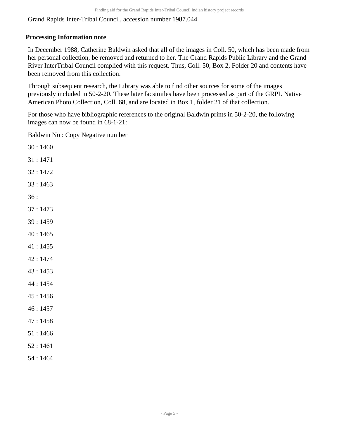Grand Rapids Inter-Tribal Council, accession number 1987.044

### **Processing Information note**

In December 1988, Catherine Baldwin asked that all of the images in Coll. 50, which has been made from her personal collection, be removed and returned to her. The Grand Rapids Public Library and the Grand River InterTribal Council complied with this request. Thus, Coll. 50, Box 2, Folder 20 and contents have been removed from this collection.

Through subsequent research, the Library was able to find other sources for some of the images previously included in 50-2-20. These later facsimiles have been processed as part of the GRPL Native American Photo Collection, Coll. 68, and are located in Box 1, folder 21 of that collection.

For those who have bibliographic references to the original Baldwin prints in 50-2-20, the following images can now be found in 68-1-21:

Baldwin No : Copy Negative number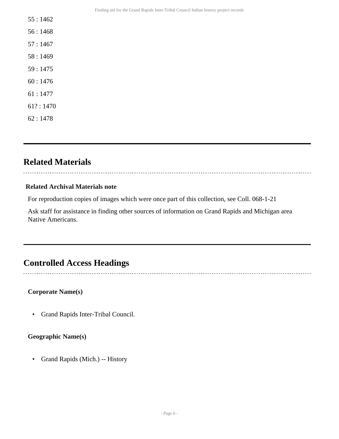- 55 : 1462
- 56 : 1468
- 57 : 1467
- 58 : 1469
- 59 : 1475
- 60 : 1476
- 61 : 1477
- 61? : 1470
- 62 : 1478

# <span id="page-5-0"></span>**Related Materials**

### **Related Archival Materials note**

For reproduction copies of images which were once part of this collection, see Coll. 068-1-21

Ask staff for assistance in finding other sources of information on Grand Rapids and Michigan area Native Americans.

## <span id="page-5-1"></span>**Controlled Access Headings**

### **Corporate Name(s)**

• Grand Rapids Inter-Tribal Council.

### **Geographic Name(s)**

• Grand Rapids (Mich.) -- History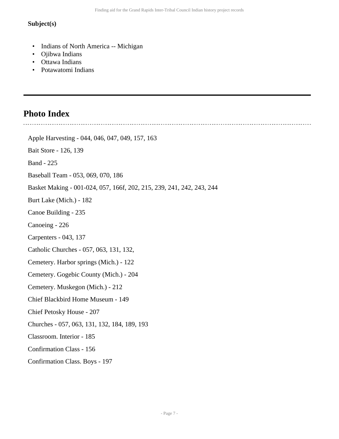### **Subject(s)**

- Indians of North America -- Michigan
- Ojibwa Indians
- Ottawa Indians
- Potawatomi Indians

# <span id="page-6-0"></span>**Photo Index**

J.

| Apple Harvesting - 044, 046, 047, 049, 157, 163                       |
|-----------------------------------------------------------------------|
| Bait Store - 126, 139                                                 |
| <b>Band - 225</b>                                                     |
| Baseball Team - 053, 069, 070, 186                                    |
| Basket Making - 001-024, 057, 166f, 202, 215, 239, 241, 242, 243, 244 |
| Burt Lake (Mich.) - 182                                               |
| Canoe Building - 235                                                  |
| Canoeing - 226                                                        |
| Carpenters - 043, 137                                                 |
| Catholic Churches - 057, 063, 131, 132,                               |
| Cemetery. Harbor springs (Mich.) - 122                                |
| Cemetery. Gogebic County (Mich.) - 204                                |
| Cemetery. Muskegon (Mich.) - 212                                      |
| Chief Blackbird Home Museum - 149                                     |
| Chief Petosky House - 207                                             |
| Churches - 057, 063, 131, 132, 184, 189, 193                          |
| Classroom. Interior - 185                                             |
| <b>Confirmation Class - 156</b>                                       |
| Confirmation Class. Boys - 197                                        |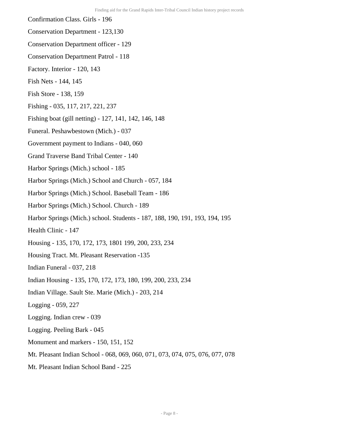- Confirmation Class. Girls 196
- Conservation Department 123,130
- Conservation Department officer 129
- Conservation Department Patrol 118
- Factory. Interior 120, 143
- Fish Nets 144, 145
- Fish Store 138, 159
- Fishing 035, 117, 217, 221, 237
- Fishing boat (gill netting) 127, 141, 142, 146, 148
- Funeral. Peshawbestown (Mich.) 037
- Government payment to Indians 040, 060
- Grand Traverse Band Tribal Center 140
- Harbor Springs (Mich.) school 185
- Harbor Springs (Mich.) School and Church 057, 184
- Harbor Springs (Mich.) School. Baseball Team 186
- Harbor Springs (Mich.) School. Church 189
- Harbor Springs (Mich.) school. Students 187, 188, 190, 191, 193, 194, 195
- Health Clinic 147
- Housing 135, 170, 172, 173, 1801 199, 200, 233, 234
- Housing Tract. Mt. Pleasant Reservation -135
- Indian Funeral 037, 218
- Indian Housing 135, 170, 172, 173, 180, 199, 200, 233, 234
- Indian Village. Sault Ste. Marie (Mich.) 203, 214
- Logging 059, 227
- Logging. Indian crew 039
- Logging. Peeling Bark 045
- Monument and markers 150, 151, 152
- Mt. Pleasant Indian School 068, 069, 060, 071, 073, 074, 075, 076, 077, 078
- Mt. Pleasant Indian School Band 225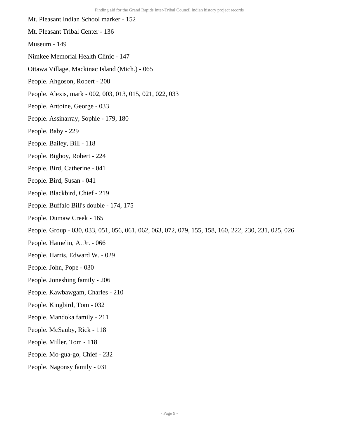Mt. Pleasant Indian School marker - 152 Mt. Pleasant Tribal Center - 136 Museum - 149 Nimkee Memorial Health Clinic - 147 Ottawa Village, Mackinac Island (Mich.) - 065 People. Ahgoson, Robert - 208 People. Alexis, mark - 002, 003, 013, 015, 021, 022, 033 People. Antoine, George - 033 People. Assinarray, Sophie - 179, 180 People. Baby - 229 People. Bailey, Bill - 118 People. Bigboy, Robert - 224 People. Bird, Catherine - 041 People. Bird, Susan - 041 People. Blackbird, Chief - 219 People. Buffalo Bill's double - 174, 175 People. Dumaw Creek - 165 People. Group - 030, 033, 051, 056, 061, 062, 063, 072, 079, 155, 158, 160, 222, 230, 231, 025, 026 People. Hamelin, A. Jr. - 066 People. Harris, Edward W. - 029 People. John, Pope - 030 People. Joneshing family - 206 People. Kawbawgam, Charles - 210 People. Kingbird, Tom - 032 People. Mandoka family - 211 People. McSauby, Rick - 118 People. Miller, Tom - 118 People. Mo-gua-go, Chief - 232 People. Nagonsy family - 031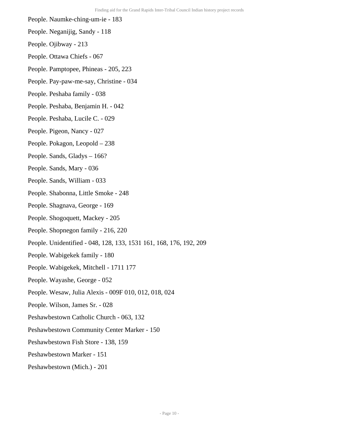- People. Naumke-ching-um-ie 183
- People. Neganijig, Sandy 118
- People. Ojibway 213
- People. Ottawa Chiefs 067
- People. Pamptopee, Phineas 205, 223
- People. Pay-paw-me-say, Christine 034
- People. Peshaba family 038
- People. Peshaba, Benjamin H. 042
- People. Peshaba, Lucile C. 029
- People. Pigeon, Nancy 027
- People. Pokagon, Leopold 238
- People. Sands, Gladys 166?
- People. Sands, Mary 036
- People. Sands, William 033
- People. Shabonna, Little Smoke 248
- People. Shagnava, George 169
- People. Shogoquett, Mackey 205
- People. Shopnegon family 216, 220
- People. Unidentified 048, 128, 133, 1531 161, 168, 176, 192, 209
- People. Wabigekek family 180
- People. Wabigekek, Mitchell 1711 177
- People. Wayashe, George 052
- People. Wesaw, Julia Alexis 009F 010, 012, 018, 024
- People. Wilson, James Sr. 028
- Peshawbestown Catholic Church 063, 132
- Peshawbestown Community Center Marker 150
- Peshawbestown Fish Store 138, 159
- Peshawbestown Marker 151
- Peshawbestown (Mich.) 201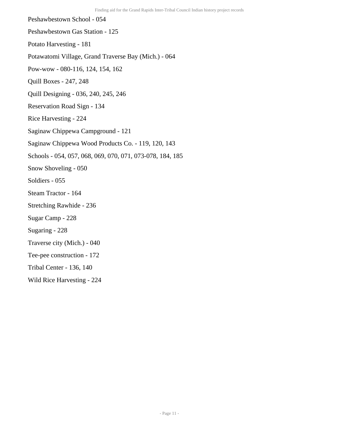Peshawbestown School - 054

Peshawbestown Gas Station - 125

Potato Harvesting - 181

Potawatomi Village, Grand Traverse Bay (Mich.) - 064

Pow-wow - 080-116, 124, 154, 162

Quill Boxes - 247, 248

Quill Designing - 036, 240, 245, 246

Reservation Road Sign - 134

Rice Harvesting - 224

Saginaw Chippewa Campground - 121

Saginaw Chippewa Wood Products Co. - 119, 120, 143

Schools - 054, 057, 068, 069, 070, 071, 073-078, 184, 185

Snow Shoveling - 050

Soldiers - 055

Steam Tractor - 164

Stretching Rawhide - 236

Sugar Camp - 228

Sugaring - 228

Traverse city (Mich.) - 040

Tee-pee construction - 172

Tribal Center - 136, 140

Wild Rice Harvesting - 224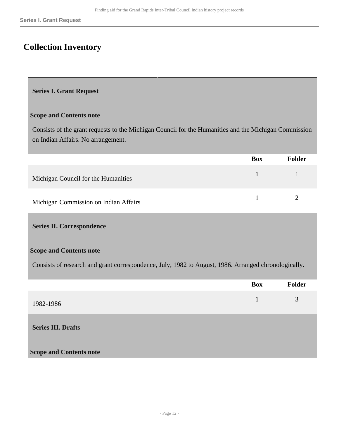# <span id="page-11-0"></span>**Collection Inventory**

### <span id="page-11-1"></span>**Series I. Grant Request**

#### **Scope and Contents note**

Consists of the grant requests to the Michigan Council for the Humanities and the Michigan Commission on Indian Affairs. No arrangement.

|                                       | <b>Box</b>                 | <b>Folder</b> |
|---------------------------------------|----------------------------|---------------|
| Michigan Council for the Humanities   | and the state of the local |               |
| Michigan Commission on Indian Affairs |                            |               |

#### <span id="page-11-2"></span>**Series II. Correspondence**

#### **Scope and Contents note**

Consists of research and grant correspondence, July, 1982 to August, 1986. Arranged chronologically.

<span id="page-11-3"></span>

|                                | <b>Box</b> | Folder |
|--------------------------------|------------|--------|
| 1982-1986                      | 1          | 3      |
| <b>Series III. Drafts</b>      |            |        |
| <b>Scope and Contents note</b> |            |        |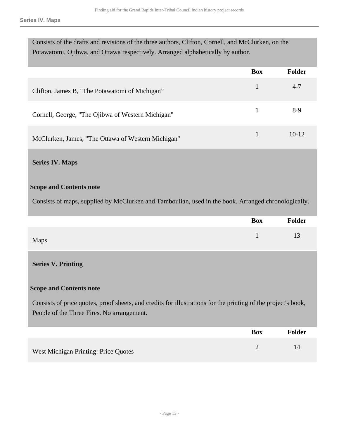**Series IV. Maps**

| Consists of the drafts and revisions of the three authors, Clifton, Cornell, and McClurken, on the |               |  |
|----------------------------------------------------------------------------------------------------|---------------|--|
| Potawatomi, Ojibwa, and Ottawa respectively. Arranged alphabetically by author.                    |               |  |
| <b>Box</b>                                                                                         | <b>Folder</b> |  |
|                                                                                                    |               |  |
|                                                                                                    | $4 - 7$       |  |
|                                                                                                    | 8-9           |  |
|                                                                                                    |               |  |
|                                                                                                    | $10-12$       |  |
|                                                                                                    |               |  |

### <span id="page-12-0"></span>**Series IV. Maps**

#### **Scope and Contents note**

Consists of maps, supplied by McClurken and Tamboulian, used in the book. Arranged chronologically.

|      | <b>Box</b> | Folder |
|------|------------|--------|
| Maps |            | 13     |

### <span id="page-12-1"></span>**Series V. Printing**

#### **Scope and Contents note**

Consists of price quotes, proof sheets, and credits for illustrations for the printing of the project's book, People of the Three Fires. No arrangement.

|                                      | <b>Box</b> | Folder |
|--------------------------------------|------------|--------|
| West Michigan Printing: Price Quotes |            |        |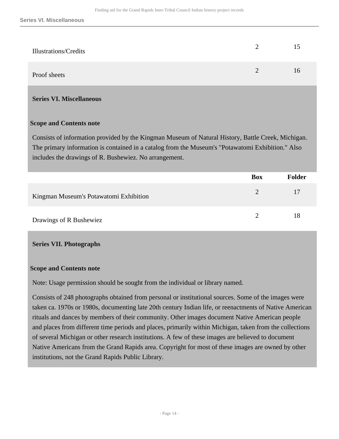| Illustrations/Credits | 15 |
|-----------------------|----|
| Proof sheets          | l6 |

### <span id="page-13-0"></span>**Series VI. Miscellaneous**

### **Scope and Contents note**

Consists of information provided by the Kingman Museum of Natural History, Battle Creek, Michigan. The primary information is contained in a catalog from the Museum's "Potawatomi Exhibition." Also includes the drawings of R. Bushewiez. No arrangement.

|                                        | <b>Box</b>    | <b>Folder</b> |
|----------------------------------------|---------------|---------------|
| Kingman Museum's Potawatomi Exhibition | $\mathcal{D}$ | 17            |
| Drawings of R Bushewiez                |               | 18            |

### <span id="page-13-1"></span>**Series VII. Photographs**

### **Scope and Contents note**

Note: Usage permission should be sought from the individual or library named.

Consists of 248 photographs obtained from personal or institutional sources. Some of the images were taken ca. 1970s or 1980s, documenting late 20th century Indian life, or reenactments of Native American rituals and dances by members of their community. Other images document Native American people and places from different time periods and places, primarily within Michigan, taken from the collections of several Michigan or other research institutions. A few of these images are believed to document Native Americans from the Grand Rapids area. Copyright for most of these images are owned by other institutions, not the Grand Rapids Public Library.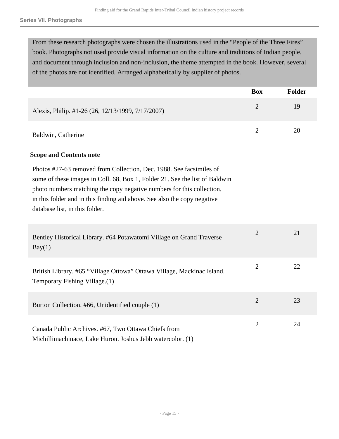From these research photographs were chosen the illustrations used in the "People of the Three Fires" book. Photographs not used provide visual information on the culture and traditions of Indian people, and document through inclusion and non-inclusion, the theme attempted in the book. However, several of the photos are not identified. Arranged alphabetically by supplier of photos.

|                                                                                                                                                                                                                                                                                                                                           | <b>Box</b>     | Folder |
|-------------------------------------------------------------------------------------------------------------------------------------------------------------------------------------------------------------------------------------------------------------------------------------------------------------------------------------------|----------------|--------|
| Alexis, Philip. #1-26 (26, 12/13/1999, 7/17/2007)                                                                                                                                                                                                                                                                                         | $\overline{2}$ | 19     |
| Baldwin, Catherine                                                                                                                                                                                                                                                                                                                        | $\overline{2}$ | 20     |
| <b>Scope and Contents note</b>                                                                                                                                                                                                                                                                                                            |                |        |
| Photos #27-63 removed from Collection, Dec. 1988. See facsimiles of<br>some of these images in Coll. 68, Box 1, Folder 21. See the list of Baldwin<br>photo numbers matching the copy negative numbers for this collection,<br>in this folder and in this finding aid above. See also the copy negative<br>database list, in this folder. |                |        |
| Bentley Historical Library. #64 Potawatomi Village on Grand Traverse<br>Bay(1)                                                                                                                                                                                                                                                            | $\overline{2}$ | 21     |
| British Library. #65 "Village Ottowa" Ottawa Village, Mackinac Island.<br>Temporary Fishing Village.(1)                                                                                                                                                                                                                                   | $\overline{2}$ | 22     |
| Burton Collection. #66, Unidentified couple (1)                                                                                                                                                                                                                                                                                           | $\overline{2}$ | 23     |
| Canada Public Archives. #67, Two Ottawa Chiefs from<br>Michillimachinace, Lake Huron. Joshus Jebb watercolor. (1)                                                                                                                                                                                                                         | $\overline{2}$ | 24     |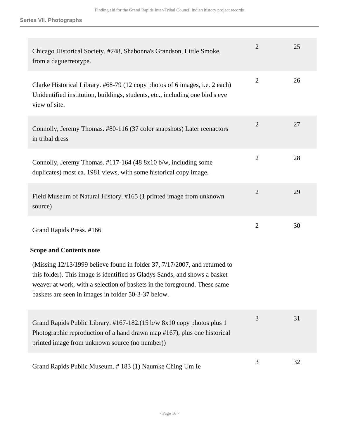| Chicago Historical Society. #248, Shabonna's Grandson, Little Smoke,<br>from a daguerreotype.                                                                                                                                                                                                | $\overline{2}$ | 25 |
|----------------------------------------------------------------------------------------------------------------------------------------------------------------------------------------------------------------------------------------------------------------------------------------------|----------------|----|
| Clarke Historical Library. #68-79 (12 copy photos of 6 images, i.e. 2 each)<br>Unidentified institution, buildings, students, etc., including one bird's eye<br>view of site.                                                                                                                | $\mathbf{2}$   | 26 |
| Connolly, Jeremy Thomas. #80-116 (37 color snapshots) Later reenactors<br>in tribal dress                                                                                                                                                                                                    | $\overline{2}$ | 27 |
| Connolly, Jeremy Thomas. #117-164 (48 8x10 b/w, including some<br>duplicates) most ca. 1981 views, with some historical copy image.                                                                                                                                                          | $\mathbf{2}$   | 28 |
| Field Museum of Natural History. #165 (1 printed image from unknown<br>source)                                                                                                                                                                                                               | $\overline{2}$ | 29 |
| Grand Rapids Press. #166                                                                                                                                                                                                                                                                     | $\overline{2}$ | 30 |
| <b>Scope and Contents note</b>                                                                                                                                                                                                                                                               |                |    |
| (Missing 12/13/1999 believe found in folder 37, 7/17/2007, and returned to<br>this folder). This image is identified as Gladys Sands, and shows a basket<br>weaver at work, with a selection of baskets in the foreground. These same<br>baskets are seen in images in folder 50-3-37 below. |                |    |
| Grand Rapids Public Library. #167-182.(15 b/w 8x10 copy photos plus 1<br>Photographic reproduction of a hand drawn map #167), plus one historical<br>printed image from unknown source (no number))                                                                                          | 3              | 31 |
| Grand Rapids Public Museum. #183 (1) Naumke Ching Um Ie                                                                                                                                                                                                                                      | 3              | 32 |